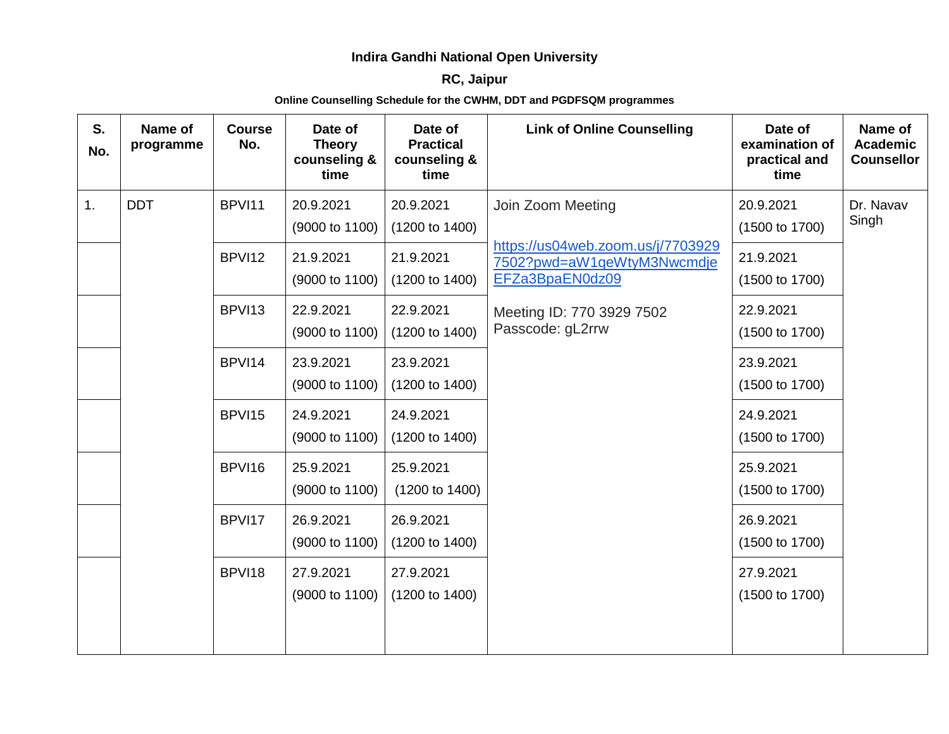## **Indira Gandhi National Open University**

## **RC, Jaipur**

## **Online Counselling Schedule for the CWHM, DDT and PGDFSQM programmes**

| S.<br>No. | Name of<br>programme | <b>Course</b><br>No. | Date of<br><b>Theory</b><br>counseling &<br>time | Date of<br><b>Practical</b><br>counseling &<br>time | <b>Link of Online Counselling</b>                                                  | Date of<br>examination of<br>practical and<br>time | Name of<br><b>Academic</b><br><b>Counsellor</b> |
|-----------|----------------------|----------------------|--------------------------------------------------|-----------------------------------------------------|------------------------------------------------------------------------------------|----------------------------------------------------|-------------------------------------------------|
| 1.        | <b>DDT</b>           | BPVI11               | 20.9.2021<br>(9000 to 1100)                      | 20.9.2021<br>(1200 to 1400)                         | Join Zoom Meeting                                                                  | 20.9.2021<br>(1500 to 1700)                        | Dr. Navav<br>Singh                              |
|           |                      | BPVI12               | 21.9.2021<br>(9000 to 1100)                      | 21.9.2021<br>(1200 to 1400)                         | https://us04web.zoom.us/j/7703929<br>7502?pwd=aW1qeWtyM3Nwcmdje<br>EFZa3BpaEN0dz09 | 21.9.2021<br>(1500 to 1700)                        |                                                 |
|           |                      | BPVI13               | 22.9.2021<br>(9000 to 1100)                      | 22.9.2021<br>(1200 to 1400)                         | Meeting ID: 770 3929 7502<br>Passcode: gL2rrw                                      | 22.9.2021<br>(1500 to 1700)                        |                                                 |
|           |                      | BPVI14               | 23.9.2021<br>(9000 to 1100)                      | 23.9.2021<br>(1200 to 1400)                         |                                                                                    | 23.9.2021<br>(1500 to 1700)                        |                                                 |
|           |                      | BPVI15               | 24.9.2021<br>(9000 to 1100)                      | 24.9.2021<br>(1200 to 1400)                         |                                                                                    | 24.9.2021<br>(1500 to 1700)                        |                                                 |
|           |                      | BPVI16               | 25.9.2021<br>(9000 to 1100)                      | 25.9.2021<br>(1200 to 1400)                         |                                                                                    | 25.9.2021<br>(1500 to 1700)                        |                                                 |
|           |                      | BPVI17               | 26.9.2021<br>(9000 to 1100)                      | 26.9.2021<br>(1200 to 1400)                         |                                                                                    | 26.9.2021<br>(1500 to 1700)                        |                                                 |
|           |                      | BPVI18               | 27.9.2021<br>(9000 to 1100)                      | 27.9.2021<br>(1200 to 1400)                         |                                                                                    | 27.9.2021<br>(1500 to 1700)                        |                                                 |